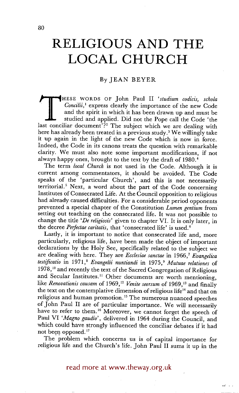# **RELIGIOUS AND THE LOCAL CHURCH**

## By JEAN BEYER

THESE WORDS OF John Paul II *'studium codicis, schola Concilii*,<sup>1</sup> express clearly the importance of the new Code and the spirit in which it has been drawn up and must be studied and applied. Did not the Pope call the Cod *Concilii,'* express clearly the importance of the new Code and the spirit in which it has been drawn up and must be studied and applied. Did not the Pope call the Code 'the last conciliar document<sup>?</sup>?<sup>2</sup> The subject which we are dealing with here has already been treated in a previous study.<sup>3</sup> We willingly take it up again in the light of the new Code which is now in force. Indeed, the Code in its canons treats the question with remarkable clarity. We must also note some important modifications, if not always happy ones, brought to the text by the draft of 1980. 4

The term *local Church* is not used in the Code. Although it is current among commentators, it should be avoided. The Code speaks of the 'particular Church', and this is not necessarily territorial? Next, a word about the part of the Code concerning Institutes of Consecrated Life. At the Council opposition to religious had already caused difficulties. For a considerable period opponents prevented a special chapter of the Constitution *Lumen gentium* from setting out teaching on the consecrated life. It was not possible to change the title *'De religiosis'* given to chapter VI. It is only later, in the decree *Perfectae caritatis,* that 'consecrated life' is used. 6

Lastly, it is important to notice that consecrated life and, more particularly, religious life, have been made the object of important declarations by the Holy See, specifically related to the subject we are dealing with here. They are *Ecclesiae sanctae* in 1966, 7 *Evangelica testificatio* in 1971, 8 *Evangelii nuntiandi* in 1975, 9 *Mutuae relationes* of  $1978$ ,<sup>10</sup> and recently the text of the Sacred Congregation of Religious and Secular Institutes.<sup>11</sup> Other documents are worth mentioning, like *Renovationis causam* of 1969,<sup>12</sup> *Venite seorsum* of 1969,<sup>13</sup> and finally the text on the contemplative dimension of religious life<sup>14</sup> and that on religious and human promotion.<sup>15</sup> The numerous nuanced speeches of John Paul II are of particular importance. We will necessarily have to refer to them.<sup>16</sup> Moreover, we cannot forget the speech of Paul VI *'Magno gaudio',* delivered in 1964 during the Council, and which could have strongly influenced the conciliar debates if it had not been opposed.<sup>17</sup>

The problem which concerns us is of capital importance for religious life and the Church's life. John Paul II sums it up in the

read more at www.theway.org.uk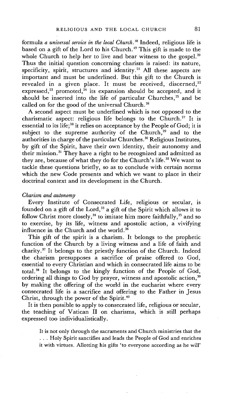formula *a universal service in the local Church. 18* Indeed, religious life is based on a gift of the Lord to his Church.<sup>19</sup> This gift is made to the whole Church to help her to live and bear witness to the gospel.<sup>20</sup> Thus the initial question concerning charism is raised: its nature, specificity, spirit, structures and identity.<sup>21</sup> All these aspects are important and must be underlined. But this gift to the Church is revealed in a given place. It must be received, discerned, $22$ expressed,<sup>23</sup> promoted,<sup>24</sup> its expansion should be accepted, and it should be inserted into the life of particular Churches, 25 and be called on for the good of the universal Church. 26

A second aspect must be underlined which is not opposed to the charismatic aspect: religious life belongs to the Church.<sup>27</sup> It is essential to its life;<sup>28</sup> it relies on acceptance by the People of God; it is subject to the supreme authority of the Church,<sup>29</sup> and to the authorities in charge of the particular Churches.<sup>30</sup> Religious Institutes, by gift of the Spirit, have their own identity, their autonomy and their mission. 31 They have a right to be recognized and admitted as they are, because of what they do for the Church's life. 32 We want to tackle these questions briefly, so as to conclude with certain norms which the new Code presents and which we want to place in their doctrinal context and its development in the Church.

### *Charism and autonomy*

Every Institute of Consecrated Life, religious or secular, is founded on a gift of the Lord,<sup>33</sup> a gift of the Spirit which allows it to follow Christ more closely,<sup>34</sup> to imitate him more faithfully,<sup>35</sup> and so to exercise, by its life, witness and apostolic action, a vivifying influence in the Church and the world.<sup>36</sup>

This gift of the spirit is a charism. It belongs to the prophetic function of the Church by a living witness and a life of faith and charity. 37 It belongs to the priestly function of the Church. Indeed the charism presupposes a sacrifice of praise offered to God, essential to every Christian and which in consecrated life aims to be total. 38 It belongs to the kingly function of the People of God, ordering all things to God by prayer, witness and apostolic action.<sup>39</sup> by making the offering of the world in the eucharist where every consecrated life is a sacrifice and offering to the Father in Jesus Christ, through the power of the Spirit.<sup>40</sup>

It is then possible to apply to consecrated life, religious or secular, the teaching of Vatican II on charisms, which is still perhaps expressed too individualistically.

It is not only through the sacraments and Church ministries that the • . . Holy Spirit sanctifies and leads the People of God and enriches it with virtues. Allotting his gifts 'to everyone according as he will'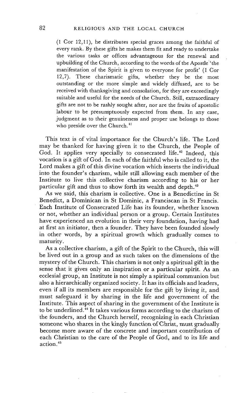(1 Cor 12,11), he distributes special graces among the faithful of every rank. By these gifts he makes them fit and ready to undertake the various tasks or offices advantageous for the renewal and upbuilding of the Church, according to the words of the Apostle"the manifestation of the Spirit is given to everyone for profit' (1 Cor 12,7). These charismatic gifts, whether they be the most outstanding or the more simple and widely diffused, are to be received with thanksgiving and consolation, for they are exceedingly suitable and useful for the needs of the Church. Still, extraordinary gifts are not to be rashly sought after, nor are the fruits of apostolic labour to be presumptuously expected from them. In any case, judgment as to their genuineness and proper use belongs to those who preside over the Church.<sup>41</sup>

This text is of vital importance for the Church's life. The Lord may be thanked for having given it to the Church, the People of God. It applies very specially to consecrated life.<sup>42</sup> Indeed, this vocation is a gift of God. In each of the faithful who is called to it, the Lord makes a gift of this divine vocation which inserts the individual into the founder's charism, while still allowing each member of the Institute to live this collective charism according to his or her particular gift and thus to show forth its wealth and depth.<sup>43</sup>

As we said, this charism is collective. One is a Benedictine in St Benedict, a Dominican in St Dominic, a Franciscan in St Francis. Each Institute of Consecrated Life has its founder, whether known or not, whether an individual person or a group. Certain Institutes have experienced an evolution in their very foundation, having had at first an initiator, then a founder. They have been founded slowly in other words, by a spiritual growth which gradually comes to maturity.

As a collective charism, a gift of the Spirit to the Church, this will be lived out in a group and as such takes on the dimensions of the mystery of the Church. This charism is not only a spiritual gift in the sense that it gives only an inspiration or a particular spirit. As an ecclesial group, an Institute is not simply a spiritual communion but also a hierarchically organized society. It has its officials and leaders, even if all its members are responsible for the gift by living it, and must safeguard it by sharing in the life and government of the Institute. This aspect of sharing in the government of the Institute is to be underlined.<sup>44</sup> It takes various forms according to the charism of the founders, and the Church herself, recognizing in each Christian someone who shares in the kingly function of Christ, must gradually become more aware of the concrete and important contribution of each Christian to the care of the People of God, and to its life and action. 4s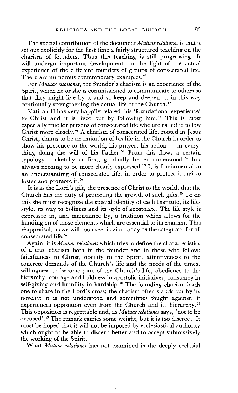The special contribution of the document *Mutuae relationes* is that it set out explicitly for the first time a fairly structured teaching on the charism of founders. Thus this teaching is still progressing. It will undergo important developments in the light of the actual experience of the different founders of groups of consecrated life. There are numerous contemporary examples.<sup>46</sup>

For *Mutuae relationes,* the founder's charism is an experience of the Spirit, which he or she is commissioned to communicate to others so that they might live by it and so keep and deepen it, in this way continually strengthening the actual life of the Church.<sup>47</sup>

Vatican II has very happily related this 'foundational experience' to Christ and it is lived out by following him. 48 This is most especially true for persons of consecrated life who are called to follow Christ more closely. 49 A charism of consecrated life, rooted in Jesus Christ, claims to be an imitation of his life in the Church in order to show his presence to the world, his prayer, his action  $-$  in everything doing the will of his Father.<sup>50</sup> From this flows a certain typology  $-$  sketchy at first, gradually better understood,<sup>52</sup> but always needing to be more clearly expressed.<sup>53</sup> It is fundamental to an understanding of consecrated life, in order to protect it and to foster and promote it. 54

It is as the Lord's gift, the presence of Christ to the world, that the Church has the duty of protecting the growth of such gifts.<sup>55</sup> To do this she must recognize the special identity of each Institute, its lifestyle, its way to holiness and its style of apostolate. The life-style is expressed in, and maintained by, a tradition which allows for the handing on of those elements which are essential to its charism. This reappraisal, as we will soon see, is vital today as the safeguard for all consecrated life.<sup>57</sup>

Again, it is *Mutuae relationes* which tries to define the characteristics of a true charism both in the founder and in those who follow: faithfulness to Christ, docility to the Spirit, attentiveness to the concrete demands of the Church's life and the needs of the times, willingness to become part of the Church's life, obedience to the hierarchy, courage and boldness in apostolic initiatives, constancy in self-giving and humility in hardship.<sup>58</sup> The founding charism leads one to share in the Lord's cross; the charism often stands out by its novelty; it is not understood and sometimes fought against; it experiences opposition even from the Church and its hierarchy.<sup>59</sup> This opposition is regrettable and, as *Mutuae relationes* says, 'not to be excused'. 6° The remark carries some weight, but it is too discreet. It must be hoped that it will not be imposed by ecclesiastical authority which ought to be able to discern better and to accept submissively the working of the Spirit.

What *Mutuae relationes* has not examined is the deeply ecclesial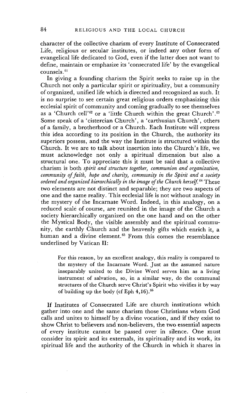character of the collective charism of every Institute of Consecrated Life, religious or secular institutes, or indeed any other form of evangelical life dedicated to God, even if the latter does not want to define, maintain or emphasize its 'consecrated life' by the evangelical  $consels.<sup>61</sup>$ 

In giving a founding charism the Spirit seeks to raise up in the Church not only a particular spirit or spirituality, but a community of organized, unified life which is directed and recognized as such. It is no surprise to see certain great religious orders emphasizing this ecclesial spirit of community and coming gradually to see themselves as a 'Church cell'<sup>62</sup> or a 'little Church within the great Church'.<sup>63</sup> Some speak of a 'cistercian Church', a 'carthusian Church', others of a family, a brotherhood or a Church. Each Institute will express this idea according to its position in the Church, the authority its superiors possess, and the way the Institute is structured within the Church. It we are to talk about insertion into the Church's life, we must acknowledge not only a spiritual dimension but also a structural one. To appreciate this it must be said that a collective charism is both *spirit and structure together, communion and organization, community of faith, hope and charity, community in the Spirit and a society ordered and organized hierarchically in the image of the Church herself.* 64 These two elements are not distinct and separable; they are two aspects of one and the same reality. This ecclesial life is not without analogy in the mystery of the Incarnate Word. Indeed, in this analogy, on a reduced scale of course, are reunited in the image of the Church a society hierarchically organized on the one hand and on the other the Mystical Body, the visible assembly and the spiritual community, the earthly Church and the heavenly gifts which enrich it, a human and a divine element.<sup>65</sup> From this comes the resemblance underlined by Vatican II:

For this reason, by an excellent analogy, this reality is compared to the mystery of the Incarnate Word. Just as the assumed nature inseparably united to the Divine Word serves him as a living instrument of salvation, so, in a similar way, do the communal structures of the Church serve Christ's Spirit who vivifies it by way of building up the body (cf Eph  $4,16$ ).  $^{66}$ 

If Institutes of Consecrated Life are church institutions which gather into one and the same charism those Christians whom God calls and unites to himself by a divine vocation, and if they exist to show Christ to believers and non-believers, the two essential aspects of every institute cannot be passed over in silence. One must consider its spirit and its externals, its spirituality and its work, its spiritual life and the authority of the Church in which it shares in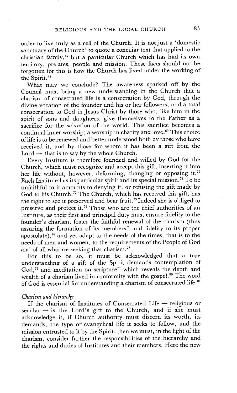order to live truly as a cell of the Church. It is not just a 'domestic sanctuary of the Church' to quote a conciliar text that applied to the christian family, °7 but a particular Church which has had its own territory, prelates, people and mission. These facts should not be forgotten for this is how the Church has lived under the working of the Spirit. 68

What may we conclude? The awareness sparked off by the Council must bring a new understanding in the Church that a charism of consecrated life is a consecration by God, through the divine vocation of the founder and his or her followers, and a total consecration to God in Jesus Christ by those who, like him in the spirit of sons and daughters, give themselves to the Father as a sacrifice for the salvation of the world. This sacrifice becomes a continual inner worship; a worship in charity and love.<sup>69</sup> This choice of life is to be renewed and better understood both by those who have received it, and by those for whom it has been a gift from the  $Lord - that$  is to say by the whole Church.

Every Institute is therefore founded and willed by God for the Church, which must recognize and accept this gift, inserting it into her life without, however, deforming, changing or opposing it.<sup>70</sup> Each Institute has its particular spirit and its special mission. 7i To be unfaithful to it amounts to denying it, or refusing the gift made by God to his Church. 72 The Church, which has received this gift, has the right to see it preserved and bear fruit. 73 Indeed she is obliged to preserve and protect it.<sup>74</sup> Those who are the chief authorities of an Institute, as their first and principal duty must ensure fidelity to the founder's charism, foster the faithful renewal of the charism (thus assuring the formation of its members<sup>75</sup> and fidelity to its proper apostolate), $76$  and yet adapt to the needs of the times, that is to the needs of men and women, to the requirements of the People of God and of all who are seeking that charism.<sup>77</sup>

For this to be so, it must be acknowledged that a true understanding of a gift of the Spirit demands contemplation of God,<sup>78</sup> and meditation on scripture<sup>79</sup> which reveals the depth and wealth of a charism lived in conformity with the gospel.<sup>80</sup> The word of God is essential for understanding a charism of consecrated life. 81

#### *Charism and hierarchy*

If the charism of Institutes of Consecrated Life - religious or  $secular - is the Lord's gift to the Church, and if she must$ acknowledge it, if Church authority must discern its worth, its demands, the type of evangelical life it seeks to follow, and the mission entrusted to it by the Spirit, then we must, in the light of the charism, consider further the responsibilities of the hierarchy and the rights and duties of Institutes and their members. Here the new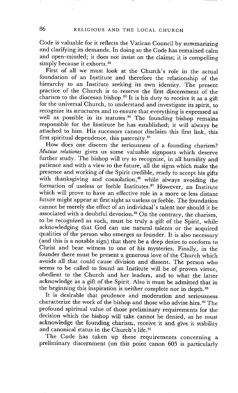Code is valuable for it reflects the Vatican Council by summarizing and clarifying its demands. In doing so the Code has remained calm and open-minded; it does not insist on the claims; it is compelling simply because it exhorts.<sup>82</sup>

First of all we must look at the Church's role in the actual foundation of an Institute and therefore the relationship of the hierarchy to an Institute seeking its own identity. The present practice of the Church is to reserve the first discernment of the charism to the diocesan bishop.<sup>83</sup> It is his duty to receive it as a gift for the universal Church, to understand and investigate its spirit, to recognize its structures and to ensure that everything is expressed as well as possible in its statutes. $^{84}$  The founding bishop remains responsible for the Institute he has established; it will always be attached to him. His sucessors cannot disclaim this first link, this first spiritual dependence, this paternity. 85

How does one discern the seriousness of a founding charism? *Mutuae relationes* gives us some valuable signposts which deserve further study. The bishop will try to recognize, in all humility and patience and with a view to the future, all the signs which make the presence and working of the Spirit credible, ready to accept his gifts with thanksgiving and consolation, $86$  while always avoiding the formation of useless or feeble Institutes. 87 However, an Institute which will prove to have an effective role in a more or less distant future might appear at first sight as useless or feeble. The foundation cannot be merely the effect of an individual's talent nor should it be associated with a doubtful devotion. 88 On the contrary, the charism, to be recognized as such, must be truly a gift of the Spirit, while acknowledging that God can use natural talents or the acquired qualities of the person who emerges as founder. It is also necessary (and this is a notable sign) that there be a deep desire to conform to Christ and bear witness to one of his mysteries. Finally, in the founder there must be present a generous love of the Church which avoids all that could cause division and dissent. The person who seems to be called to found an Institute will be of proven virtue, obedient to the Church and her leaders, and to what the latter acknowledge as a gift of the Spirit. Also it must be admitted that in the beginning this inspiration is neither complete nor in depth.<sup>89</sup>

It is desirable that prudence and moderation and seriousness characterize the work of the bishop and those who advise him. 9° The profound spiritual value of those preliminary requirements for the decision which the bishop will take cannot be denied, as he must acknowledge the founding charism, receive it and give it stability and canonical status in the Church's life. 91

The Code has taken up these requirements concerning a preliminary discernment (on this point canon 605 is particularly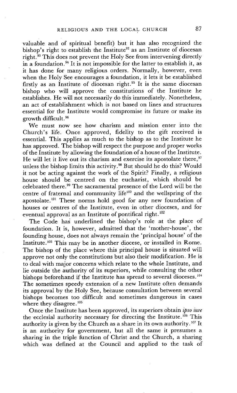valuable and of spiritual benefit) but it has also recognized the bishop's right to establish the Institute<sup>92</sup> as an Institute of diocesan right.<sup>33</sup> This does not prevent the Holy See from intervening directly in a foundation.<sup>94</sup> It is not impossible for the latter to establish it, as it has done for many religious orders. Normally, however, even when the Holy See encourages a foundation, it lets it be established firstly as an Institute of diocesan right.<sup>95</sup> It is the same diocesan bishop who will approve the constitutions of the Institute he establishes. He will not necessarily do this immediately. Nonetheless, an act of establishment which is not based on lines and structures essential for the Institute would compromise its future or make its growth difficult. 96

We must now see how charism and mission enter into the Church's life. Once approved, fidelity to the gift received is essential. This applies as much to the bishop as to the Institute he has approved. The bishop will respect the purpose and proper works of the Institute by allowing the foundation of a house of the Institute. He will let it live out its charism and exercise its apostolate there,<sup>97</sup> unless the bishop limits this activity. 98 But should he do this? Would it not be acting against the work of the Spirit? Finally, a religious house should be centred on the eucharist, which should be celebrated there. 99 The sacramental presence of the Lord will be the centre of fraternal and community life<sup>100</sup> and the wellspring of the apostolate.<sup>101</sup> These norms hold good for any new foundation of houses or centres of the Institute, even in other dioceses, and for eventual approval as an Institute of pontifical right.<sup>102</sup>

The Code has underlined the bishop's role at the place of foundation. It is, however, admitted that the 'mother-house', the founding house, does not always remain the 'principal house' of the Institute.<sup>103</sup> This may be in another diocese, or installed in Rome. The bishop of the place where this principal house is situated will approve not only the constitutions but also their modification. He is to deal with major concerns which relate to the whole Institute, and lie outside the authority of its superiors, while consulting the other bishops beforehand if the Institute has spread to several dioceses.<sup>104</sup> The sometimes speedy extension of a new Institute often demands its approval by the Holy See, because consultation between several bishops becomes too difficult and sometimes dangerous in cases where they disagree.<sup>105</sup>

Once the Institute has been approved, its superiors obtain *ipso iure*  the ecclesial authority necessary for directing the Institute.<sup>106</sup> This authority is given by the Church as a share in its own authority.<sup>107</sup> It is an authority for government, but all the same it presumes a sharing in the triple function of Christ and the Church, a sharing which was defined at the Council and applied to the task of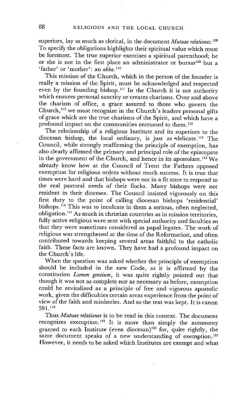superiors, lay as much as clerical, in the document *Mutuae relationes, lo8*  To specify the obligations highlights their spiritual value which must be foremost. The true superior exercises a spiritual parenthood; he or she is not in the first place an administrator or bursar $109$  but a 'father' or 'mother': an *abba. 11°* 

This mission of the Church, which in the person of the founder is really a mission of the Spirit, must be acknowledged and respected even by the founding bishop.<sup>111</sup> In the Church it is not authority which ensures personal sanctity or creates charisms. Over and above the charism of office, a grace assured to those who govern the Church,  $112$  we must recognize in the Church's leaders personal gifts of grace which are the true charisms of the Spirit, and which have a profound impact on the communities entrusted to them.<sup>113</sup>

The relationship of a religious Institute and its superiors to the diocesan bishop, the local ordinary, is just as delicate.<sup>114</sup> The Council, while strongly reaffirming the principle of exemption, has also clearly affirmed the primary and principal role of the episcopate in the government of the Church, and hence in its apostolate.<sup>115</sup> We already know how at the Council of Trent the Fathers opposed exemption for religious orders without much success. It is true that times were hard and that bishops were not in a fit state to respond to the real pastoral needs of their flocks. Many bishops were not resident in their dioceses. The Council insisted vigorously on this first duty to the point of calling diocesan bishops 'residential' bishops.  $^{16}$  This was to inculcate in them a serious, often neglected, obligation.<sup>117</sup> As much in christian countries as in mission territories, fully active religious were sent with special authority and faculties so that they were sometimes considered as papal legates. The work of religious was strengthened at the time of the Reformation, and often contributed towards keeping several areas faithful to the catholic faith. These facts are known. They have had a profound impact on the Church's life.

When the question was asked whether the principle of exemption should be included in the new Code, as it is affirmed by the constitution *Lumen gentium,* it was quite rightly pointed out that though it was not as complete nor as necessary as before, exemption could be revitalized as a principle of free and vigorous apostolic work, given the difficulties certain areas experience from the point of view of the faith and ministries. And so the text was kept. It is canon 591.118

Thus *Mutuae relationes* is to be read in this context. The document recognizes exemption. 119 It is more than simply the autonomy granted to each Institute (even diocesan)<sup>120</sup> for, quite rightly, the same document speaks of a new understanding of exemption.<sup>121</sup> However, it needs to be asked which Institutes are exempt and what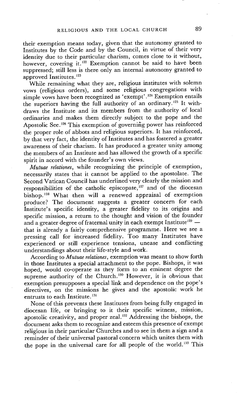their exemption means today, given that the autonomy granted to Institutes by the Code and by the Council, in virtue of their very identity due to their particular charism, comes close to it without, however, covering it.<sup>122</sup> Exemption cannot be said to have been suppressed; still less is there only an internal autonomy granted to approved Institutes. 123

While remaining what they are, religious institutes with solemn vows (religious orders), and some religious congregations with simple vows have been recognized as 'exempt'. 124 Exemption entails the superiors having the full authority of an ordinary.<sup>125</sup> It withdraws the Institute and its members from the authority of local ordinaries and makes them directly subject to the pope and the Apostolic See.<sup>126</sup> This exemption of governing power has reinforced the proper role of abbots and religious superiors. It has reinforced, by that very fact, the identity of Institutes and has fostered a greater awareness of their charism. It has produced a greater unity among the members of an Institute and has allowed the growth of a specific spirit in accord with the founder's own views.

*Mutuae relationes,* while recognizing the principle of exemption, necessarily states that it cannot be applied to the apostolate. The Second Vatican Council has underlined very clearly the mission and responsibilities of the catholic episcopate,  $x^2$  and of the diocesan bishop. 128 What then will a renewed appraisal of exemption produce? The document suggests a greater concern for each Institute's specific identity, a greater fidelity to its origins and specific mission, a return to the thought and vision of the founder and a greater degree of fraternal unity in each exempt Institute<sup>129</sup>  $$ that is already a fairly comprehensive programme. Here we see a pressing call for increased fidelity. Too many Institutes have experienced or still experience tensions, unease and conflicting understandings about their life-style and work.

According to *Mutuae relationes,* exemption was meant to show forth in those Institutes a special attachment to the pope. Bishops, it was hoped, would co-operate as they form to an eminent degree the supreme authority of the Church.<sup>130</sup> However, it is obvious that exemption presupposes a special link and dependence on the pope's directives, on the missions he gives and the apostolic work he entrusts to each Institute.<sup>131</sup>

None of this prevents these Institutes from being fully engaged in diocesan life, or bringing to it their specific witness, mission, apostolic creativity, and proper zeal. 132 Addressing the bishops, the document asks them to recognize and esteem this presence of exempt religious in their particular Churches and to see in them a sign and a reminder of their universal pastoral concern which unites them with the pope in the universal care for all people of the world.<sup>133</sup> This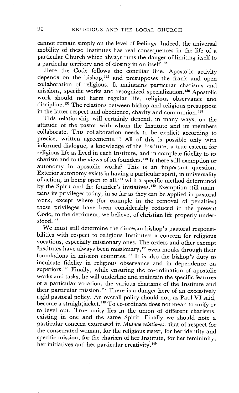cannot remain simply on the level of feelings. Indeed, the universal mobility of these Institutes has real consequences in the life of a particular Church which always runs the danger of limiting itself to a particular territory and of closing in on itself.<sup>134</sup>

Here the Code follows the conciliar line. Apostolic activity depends on the bishop, $135$  and presupposes the frank and open collaboration of religious. It maintains particular charisms and missions, specific works and recognized specialization. 136 Apostolic work should not harm regular life, religious observance and discipline. 137 The relations between bishop and religious presuppose in the latter respect and obedience, charity and communion.<sup>138</sup>

This relationship will certainly depend, in many ways, on the attitude of the pastor with whom the Institute and its members collaborate. This collaboration needs to be explicit according to precise, written agreements.<sup>139</sup> All of this is possible only with informed dialogue, a knowledge of the Institute, a true esteem for religious life as lived in each Institute, and in complete fidelity to its charism and to the views of its founders.14° Is there still exemption or autonomy in apostolic works? This is an important question. Exterior autonomy exists in having a particular spirit, in universality of action, in being open to all,<sup> $141$ </sup> with a specific method determined by the Spirit and the founder's initiatives. 142 Exemption still *main*tains its privileges today, in so far as they can be applied in pastoral work, except where (for example in the removal of penalties) these privileges have been considerably reduced in the present Code, to the detriment, we believe, of christian life properly understood.<sup>143</sup>

We must still determine the diocesan bishop's pastoral responsibilities with respect to religious Institutes: a concern for religious vocations, especially missionary ones. The orders and other exempt Institutes have always been missionary, 144 even monks through their foundations in mission countries.<sup>145</sup> It is also the bishop's duty to inculcate fidelity in religious observance and in dependence on superiors. 146 Finally, while ensuring the co-ordination of apostolic works and tasks, he will underline and maintain the specific features of a particular vocation, the various charisms of the Institute and their particular mission.<sup>147</sup> There is a danger here of an excessively rigid pastoral policy. An overall policy should not, as Paul VI said, become a straightjacket.<sup>148</sup> To co-ordinate does not mean to unify or to level out. True unity lies in the union of different charisms, existing in one and the same Spirit. Finally we should note a particular concern expressed in *Mutuae relationes:* that of respect for the consecrated woman, for the religious sister, for her identity and specific mission, for the charism of her Institute, for her femininity, her initiatives and her particular creativity.<sup>149</sup>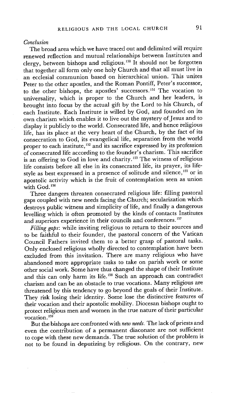#### *Conclusion*

The broad area which we have traced out and delimited will require renewed reflection and mutual relationships between Institutes and clergy, between bishops and religious.<sup>150</sup> It should not be forgotten that together all form only one holy Church and that all must live in an ecclesial communion based on hierarchical union. This unites Peter to the other apostles, and the Roman Pontiff, Peter's successor, to the other bishops, the apostles' successors. 1st The vocation to universality, which is proper to the Church and her leaders, is brought into focus by the actual gift by the Lord to his Church, of each Institute. Each Institute is willed by God, and founded on its own charism which enables it to live out the mystery of Jesus and to display it publicly to the world. Consecrated life, and hence religious life, has its place at the very heart of the Church, by the fact of its consecration to God, its evangelical life, separation from the world proper to each institute,<sup>152</sup> and its sacrifice expressed by its profession of consecrated life according to the founder's charism. This sacrifice is an offering to God in love and charity.<sup>153</sup> The witness of religious life consists before all else in its consecrated life, its prayer, its lifestyle as best expressed in a presence of solitude and silence, 155 or in apostolic activity which is the fruit of contemplation seen as union with God.<sup>156</sup>

Three dangers threaten consecrated religious life: filling pastoral gaps coupled with new needs facing the Church; secularization which destroys public witness and simplicity of life, and finally a dangerous levelling which is often promoted by the kinds of contacts Institutes and superiors experience in their councils and conferences.<sup>157</sup>

*Filling gaps:* while inviting religious to return to their sources and to be faithful to their founder, the pastoral concern of the Vatican Council Fathers invited them to a better grasp of pastoral tasks. Only enclosed religious wholly directed to contemplation have been excluded from this invitation. There are many religious who have abandoned more appropriate tasks to take on parish work or some other social work. Some have thus changed the shape of their Institute and this can only harm its life.<sup>158</sup> Such an approach can contradict charism and can be an obstacle to true vocations. Many religious are threatened by this tendency to go beyond the goals of their Institute. They risk losing their identity. Some lose the distinctive features of their vocation and their apostolic mobility. Diocesan bishops ought to protect religious men and women in the true nature of their particular vocation. $159$ 

But the bishops are confronted with *new needs.* The lack of priests and even the contribution of a permanent diaconate are not sufficient to cope with these new demands. The true solution of the problem is not to be found in deputizing by religious. On the contrary, new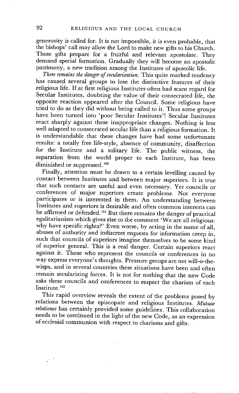generosity is called for. It is not impossible, it is even probable, that the bishops' call may allow the Lord to make new gifts to his Church. These gifts prepare for a fruitful and relevant apostolate. They demand special formation. Gradually they will become an apostolic patrimony, a new tradition among the Institutes of apostolic life.

*There remains the danger of secularization.* This quite marked tendency has caused several groups to lose the distinctive features of their religious life. If at first religious Institutes often had scant regard for Secular Institutes, doubting the value of their consecrated life, the opposite reaction appeared after the Council. Some religious have tried to do as they did without being called to it. Thus some groups have been turned into 'poor Secular Institutes'! Secular Institutes react sharply against these inappropriate changes. Nothing is less well adapted to consecrated secular life than a religious formation. It is understandable that these changes have had some unfortunate results: a totally free life-style, absence of community, disaffection for the Institute and a solitary life. The public witness; the separation from the world proper to each Institute, has been diminished or suppressed.<sup>160</sup>

Finally, attention must be drawn to a certain levelling caused by contact between Institutes and between major superiors. It is true that such contacts are useful and even necessary. Yet councils or conferences of major superiors create problems. Not everyone participates or is interested in them. An understanding between Institutes and superiors is desirable and often common interests can be affirmed or defended.<sup>161</sup> But there remains the danger of practical egalitarianism which gives rise to-the comment 'We are all religious: why have specific rights?' Even worse, by acting in the name of all, abuses of authority and indiscreet requests for information creep in, such that councils of superiors imagine themselves to be some kind of superior general. This is a real danger. Certain superiors react against it. Those who represent the councils or conferences in no way express everyone's thoughts. Pressure groups are not will-o-thewisps, and in several countries these situations have been and often remain secularizing forces. It is not for nothing that the new Code asks these councils and conferences to respect the charism of each Institute.<sup>162</sup>

This rapid overview reveals the extent of the problems posed by relations between the episcopate and religious Institutes. *Mutuae relationes* has certainly provided some guidelines. This collaboration needs to be continued in the light of the new Code, as an expression of ecclesial communion with respect to charisms and gifts.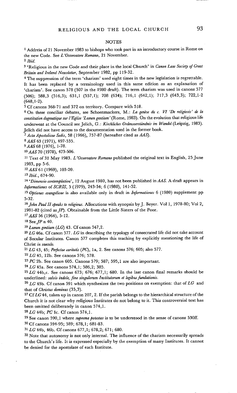#### **NOTES**

<sup>1</sup> Address of 21 November 1983 to bishops who took part in an introductory course in Rome on the new Code. See *L'Osservatore Romano,* 21 November.

*2 Ibid.* 

3 'Religious in the new Code and their place in the local Church' in *Canon Law Society yGreat Britain and Ireland Newsletter,* September 1982, pp 119-32.

4 The suppression of the term 'charism' used eight times in the new legislation is regrettable. It has been replaced by a terminology used in this same edition as an explanation of 'charism'. See canon 578 (507 in the 1980 draft). The term charism was used in canons 577 (506); 588,3 (516,3); 631,1 (557,1); 708 (634); 716,1 (642,1); 717,3 (643,3); 722,1-2 (648,1-2).

5 Cf canons 368-71 and 372 on territory. Compare with 518.

<sup>6</sup> On these conciliar debates, see Schoenmackers, M.: La genèse du c. VI 'De religiosis' de la constitution dogmatique sur l'Eglise 'Lumen gentium' (Rome, 1983). On the evolution that religious life underwent at the Council see Jelich, G.: *Kirchliches Ordensverstiindnis im Wandel* (Leipzig, 1983). Jelich did not have access to the documentation used in the former book.

*7 Acta Apostolicae Sedis,* 58 (1966), 757-87 (hereafter cited as AAS).

8 AAS 63 (1971), 497-535.

9 AAS 68 (1976), 1-78.

10AAS 70 (1978), 473-506.

11 Text of 31 May 1983. *L'Osservatore Romano* published the original text in English, 25 June 1983, pp 5-6.

12 AAS 61 (1969), 103-20.

*J3 Ibid.,* 674-90.

*14 'Dimensio contemplativa',* 12 August 1980, has not been published in AAS. A draft appears in *Informationes of SCRIS, 5 (1979), 243-54; 6 (1980), 141-52.* 

15 *Optiones evangelicae* is also available only in draft in *Informationes* 6 (1980) supplement pp 5-32.

*16John Paul H speaks to religious.* Alloeutions with synopsis by J. Beyer. Vol 1, 1978-80; Vol 2, 1981-82 (cited as  $JP$ ). Obtainable from the Little Sisters of the Poor.

17 AAS 56 (1964), 5-12.

18 SeeJP n 40.

19 *Lumen gentium (LG)* 43. Cf canon 547,2.

2o *LG* 46a. Cf canon 577. *LG* in describing the typology of consecrated life did not take account of Secular Institutes. Canon 577 completes this teaching by explicitly mentioning the life of Christ *in saeculo.* 

*21 LG* 43, 45; *Perfectae caritatis (PC),* la, 2. See canons 576; 605; also 577.

22 *LG* 45, 12b. See canons 576; 578.

23 *PC* 2b. See canon 605. Canons 579; 587; 595,1 are also important.

*24 LG* 45a. See canons 574,1; 586,2; 385.

 $25 \text{ LG } 44b$ ,c. See canons 673; 676; 677,1; 680. In the last canon final remarks should be underlined: *salvis indole, fine singulorum Institutorum et legibus fundationis.* 

*26 LG* 45b. Cf canon 591 which synthesizes the two positions on exemption: that *of LG* and that of *Christus dominus* (35,3).

*27 CfLG* 44, taken up in canon 207, 2. If the parish belongs to the hierarchical structure of the Church it is not clear why religious Institutes do not belong to it. This controversial text has been omitted deliberately in canon 574,1.

*28 LG* 44b; *PC* le. Cf canon 574,1.

29 See canon 590,1 where *suprema potestas* is to be understood in the sense of canons 530ff.

3o Cf canons 594-95; 589; 678,1; 681-83.

*31 LG* 44b, 46b. Cf canons 677,1; 678,2; 671; 680.

<sup>32</sup> Note that autonomy is not only internal. The influence of the charism necessarily spreads to the Church's life. It is expressed especially by the exemption of many Institutes. It cannot he denied for the apostolate of each Institute.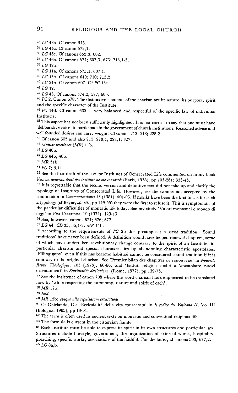# 94 RELIGIOUS AND THE LOCAL CHURCH

*a3 LG* 43a. Cf canon 575.

34 *LG* 44c. Cf canon 573,1.

*35 LG* 46c. Cf canons 652,3; 662.

*36 LG* 46a. Cf canons 577; 607,3; 673; 713,1-3.

*37 LG* 12b.

*38LG* lla. Cf canons 573,1; 607,1.

*39 LG* 13b. Cf canons 640; 710; 713,2.

40 *LG* 34b. Cf canon 607. *CfPC* 13c.

*45 LG* 12.

*42 LG* 43. Cf canons 574,2; 577; 605.

*43 PC* 2. Canon 578. The distinctive elements of the charism are its nature, its purpose, spirit and the specific character of the Institute.

 $44$  *PC* 14d. Cf canon 633 -- very balanced and respectful of the specific law of individual Institutes.

<sup>45</sup> This aspect has not been sufficiently highlighted. It is not correct to say that one must have 'deliberative voice' to participate in the government of church institutions. Reasoned advice and well-founded desires can carry weight. Cf canons 212; 213; 228,2.

46 Cf canon 605 and also 215; 278,1; 298,1; 327.

*47 Mutuae relationes (MR)* 1 lb.

48 *LG* 40b.

49 *LG* 44b, 46b.

5o *MR* 5 lb.

*51 PC7;* 8,11.

52 See the first draft of the law for Institutes of Consecrated Life commented on in my book Vers un nouveau droit des instituts de vie consacrée (Paris, 1978), pp 103-261; 333-45.

53 It is regrettable that the second version and definitive text did not take up and clarify the typology of Institutes of Consecrated Life. However, see the canons not accepted by the commission in *Communicationes* 13 (1981), 401-03. If monks have been the first to ask for such a typology (cf Beyer, *op. tit.,* pp 149-55) they were the first to refuse it. This is symptomatic of the particular difficulties of monastic life today. See my study 'Valori monastici e mondo di oggi' in *Vita Consacrata,* 10 (1974), 129-43.

54 See, however, canons 674; 676; 677.

55 LG 44. *CD* 33; 35,1-2. *MR* 11b.

56 According to the requirements of *PC* 2b this presupposes a *sound* tradition. 'Sound traditions' have never been defined. A definition would have helped renewal chapters, some of which have undertaken revolutionary change contrary to the spirit of an Institute, its particular charism and special characteristics by abandoning characteristic apostolates. 'Filling gaps', even if this has become habitual cannot be considered sound tradition if it is contrary to the original charism. See 'Premier bilan des chapitres de renouveau' in *Nouvelle Revue Thdologique,* 105 (1973), 60-86, and 'Istituti religiosi dediti all'apostolato: nuovi orientamenti' in *Spiritualità dell'azione* (Rome, 1977), pp 139-75.

57 See the insistence of canon 708 where the word charism has disappeared to be translated now by 'while respecting the autonomy, nature and spirit of each'.

*58 MR* 12b.

59 *Ibid.* 

60 *MR* 12b: *absque ulla repulsarum exvusatione.* 

61 Cf Ghirlanda, G.: 'Ecclesialità della vita consacrata' in *Il codice del Vaticano II*, Vol III (Bologna, 1983), pp 13-51.

<sup>62</sup> The term is often used in ancient texts on monastic and conventual religious life.

63 The formula is current in the cistercian family.

<sup>64</sup> Each Institute must be able to express its spirit in its own structures and particular law. Structures include life-style, government, the organization of external works, hospitality, preaching, specific works, associations of the faithful. For the latter, cf canons 303; 677,2. 65 *LG* 8a,b.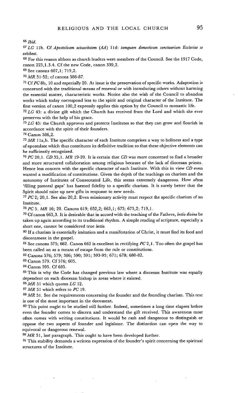66 *Ibid.* 

*67 LG* 1lb. Cf *Apostolicam actuositatem* (A.4) lld: *tamquam domesticum sanctuariura Ecclesiae se exhibeat.* 

68 For this reason abbots as church leaders were members of the Council. See the 1917 Code, canon 223,1.3.4. Cf the new Code, canon 339,2.

69 See canons 607,1; 719,2.

7o *MR* 51-52; cf canons 586-87.

*71 CfPC* 8b, 10 and especially 20. At issue is the preservation of specific works. Adaptation is concerned with the traditional means of renewal or with introducing others without harming the essential matter, characteristic works. Notice also the wish of the Council to abandon works which today correspond less to the spirit and original character of the Institute. The first version of canon 100,2 expressly applies this option by the Council to monastic life.

72 *LG* 43: a divine gift which the Church has received from the Lord and which she ever preserves with the help of his grace.

*73 LG* 45: the Church approves and protects Institutes so that they can grow and flourish in accordance with the spirit of their founders.

74 Canon 586,2.

75 *MR* 1 la,b. The specific character of each Institute comprises a way to holiness and a type of apostolate which thus constitutes its definitive tradition so that these objective elements can be sufficiently recognized.

76 *PC* 20,1. *CD* 35,1. *MR* 19-20. It is certain that *CD* was more concerned to find a broader and more structured collaboration among religious because of the lack of diocesan priests. Hence less concern with the specific character of each Institute. With this in view *CD* even wanted a modification of constitutions. Given the depth of the teachings on charism and the autonomy of Institutes of Consecrated Life, this seems extremely dangerous. How often 'filling pastoral gaps' has harmed fidelity to a specific charism. It is surely better that the Spirit should raise up new gifts in response to new needs.

 $77$  PC 2; 20,1. See also 20,2. Even missionary activity must respect the specific charism of an Institute.

78 PC 5. *MR* 16; 20. Canons 619; 652,2; 663,1; 673; 675,2; 719,1.

79 Cfcanon 663,3. It is desirable that in accord with the teaching of the Fathers, *lectio divina* be taken up again according to its traditional rhythm. A simple reading of scripture, especially a short one, cannot be considered true *lectio.* 

80 If a charism is essentially imitation and a manifestation of Christ, it must find its food and discernment in the gospel.

81 See canons 575; 662. Canon 662 is excellent in rectifying *PC* 2,1. Too often the gospel has been called on as a means of escape from the rule or constitutions.

82 Canons 576; 579; 586; 590; 591; 593-95; 671; 678; 680-82.

83 Canon 579. Cf 576; 605.

84 Canon 595. Cf 605.

<sup>85</sup> This is why the Code has changed previous law where a diocesan Institute was equally dependent on each diocesan bishop in areas where it existed.

*86MR* 51 which quotes *LG* 12.

87 *MR* 51 which refers to *PC* 19.

<sup>88</sup> MR 51. See the requirements concerning the founder and the founding charism. This text is one of the most important in the document.

89 This point ought to be studied still further. Indeed, sometimes a long time elapses before even the founder comes to discern and understand the gift received. This awareness most often comes with writing constitutions. It would be rash and dangerous to distinguish or oppose the two aspects of founder and legislator. The distinction can open the way to equivocal or dangerous renewal.

9o *MR* 51, last paragraph. This ought to have been developed further.

 $91$  This stability demands a written expression of the founder's spirit.concerning the spiritual structures of the Institute.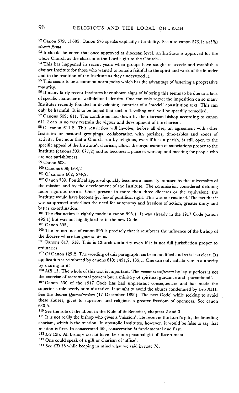92 Canon 579, cf 605. Canon 576 speaks explicitly of stability. See also canon 573,1: *stabilis vivendi forma.* 

<sup>93</sup> It should be noted that once approved at diocesan level, an Institute is approved for the whole Church as the charism is the Lord's gift to the Church..

<sup>94</sup> This has happened in recent years when groups have sought to secede and establish a distinct Institute for those who wanted to remain faithful to the spirit and work of the founder and to the tradition of the Institute as they understood it.

 $95$  This seems to be a common norm today which has the advantage of fostering a progressive maturity.

<sup>96</sup> If many fairly recent Institutes have shown signs of faltering this seems to be due to a lack of specific character or well-defined identity. One can only regret the imposition on so many Institutes recently founded in developing countries of a 'model' constitution text. This can only be harmful. It is to be hoped that such a 'levelling-out' will be speedily remedied.

<sup>97</sup> Canons 609; 611. The conditions laid down by the diocesan bishop according to canon 611,2 can in no way restrain the vigour and development of the charism.

98 Cf canon 611,2. This restriction will involve, before all else, an agreement with other Institutes or pastoral groupings, collaboration with parishes, time-tables and zones of activity. But note that a Church run by religious, even if it is a parish, is still open to the specific appeal of the Institute's charism, allows the organization of associations proper to the Institute (canons 303; 677,2) and so becomes a place of worship and meeting for people who are not parishioners.

*99* Canon 608.

100 Canons 608; 663,2

101 Cf canons 602: 574.2.

102 Canon 589. Pontifical approval quickly becomes a necessity imposed by the universality of the mission and by the development of the Institute. The commission considered defining more rigorous norms. Once present in more than three dioceses or the equivalent, the Institute would have become *ipso iure* of pontifical right. This was not retained. The fact that it was suppressed underlines the need for autonomy and freedom of action, greater unity and better co-ordination.

103 The distinction is rightly made in canon 595,1. It was already in the 1917 Code (canon 495,1) but was not highlighted as in the new Code.

104 Canon 595,1.

105 The importance of canon 595 is precisely that it reinforces the influence of the bishop of the diocese where the generalate is.

106 Canons 617; 618. This is Church authority even if it is not full jurisdiction proper to ordinaries.

107 Cf Canon 129,2. The wording of this paragraph has been modified and so is less clear. Its • application is reinforced by canons 618; 1421,2; 135,1. One can only collaborate in authority by sharing in it!

*1o8 MR* 13. The whole of this text is important. The *munus sanctificandi* by lay superiors is not the exercise of sacramental powers but a ministry of spiritual guidance and 'parenthood'.

109 Canon 530 of the 1917 Code has had unpleasant consequences and has made the superior's role overly administrative. It sought to avoid the abuses condemned by Leo XIII. See the decree *Quemadmodum* (17 December 1890). The new Code, while seeking to avoid these abuses, gives to superiors and religious a greater freedom of openness. See canon 630,5.

110 See the role of the abbot in the Rule of St Benedict, chapters 2 and 3.

111 It is not really the bishop who gives a 'mission'. He receives the Lord's gift, the founding charism, which is the mission. In apostolic Institutes, however, it would be false to say that mission is first. In consecrated life, consecration is fundamental and first.

112 *LG* 12b. All bishops do not have the same personal gift of discernment.

113 One could speak of a gift or charism of 'office'.

I14 See *CD* 35 while keeping in mind what we said in note 76.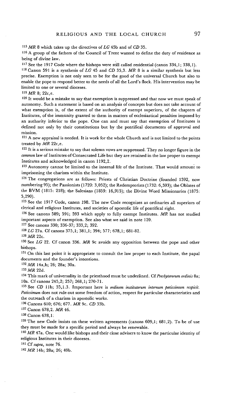115 *MR* 8 which takes up the directives of *LG* 45b and of *CD* 35.

116 A group of the fathers of the Council of Trent wanted to define the duty of residence as being of divine law.

117 See the 1917 Code where the bishops were still called residential (canon 334,1; 338,1).

118 Canon 591 is a synthesis of *LG* 45 and *CD* 35,3. *MR* 8 is a similar synthesis but less precise. Exemption is not only seen to be for the good of the universal Church but also to enable the pope to respond better to the needs of all the Lord's flock. His intervention may be limited to one or several dioceses.

 $119$  MR 8: 22c, e.

 $120$  It would be a mistake to say that exemption is suppressed and that now we must speak of autonomy. Such a statement is based on an analysis of concepts but does not take account of what exemption is, of the extent of the authority of exempt superiors, of the chapters of Institutes, of the immunity granted to them in matters of ecclesiastical penalties imposed by an authority inferior to the pope. One can and must say that exemption of Institutes is defined not only by their constitutions but by the pontifical documents of approval and mission.

 $121$  A new appraisal is needed. It is work for the whole Church and is not limited to the points treated by *MR* 22c,e.

 $122$  It is a serious mistake to say that solemn vows are suppressed. They no longer figure in the *common* law of Institutes of Consecrated Life but they are retained in the law proper to exempt Institutes and acknowledged in canon 1192,2.

123 Autonomy cannot be limited to the internal life of the Institute. That would amouni to imprisoning the charism within the Institute.

124 The congregations are as follows: Priests of Christian Doctrine (founded 1592, now numbering 95); the Passionists (1720: 3,052); the Redemptorists (1732: 6,593); the Oblates of the BVM (1815: 218); the Salesians (1859: 16,915); the Divine Word Missionaries (1875: 5,290).

125 See the 1917 Code, canon 198. The new Code recognizes as ordinaries all superiors of clerical and religious Institutes, and societies of apostolic life of pontifical right.

t26 See canons 589; 591; 593 which apply to fully exempt Institutes. *MR* has not studied important aspects of exemption. See also what we said in note 120.

127 See canons 330; 336-37; 333,2; 392.

*12a LG* 27a. Cf canons 375,1 ; 381,1 ; 394; 577; 678,1; 681-82.

129 *MR* 22c.

130 See *LG* 22. Cf canon 336. *MR* 9c avoids any opposition between the pope and other bishops.

 $131$  On this last point it is appropriate to consult the law proper to each Institute, the papal documents and the founder's intentions.

*132 MR* 14a,b; 26; 28a; 30a.

133 *MR* 22d.

134 This mark of universality in the priesthood must be underlined. *CfPresbyterorum ordinis* 8a; 10a. Cf canons 245,2; 257; 268,1; 270-71.

135 See *GD* llb; 35,1.3. Important here is *ordinem institutorum internum potissimum respidt. Potissimum* does not rule out some freedom of action, respect for particular characteristics and the outreach of a charism in apostolic works.

136 Canons 610; 676; 677. *MR* 9c. *CD* 33b.

137 Canon 678,2. *MR* 46.

138 Canon 678,1:

139 The new Code insists on these written agreements (canons 609,1; 681,2). To be of use they must be made for a specific period and always be renewable.

140 *MR* 47a. One would like bishops and their close advisers to know the particular identity of religious Institutes in their dioceses.

141 *Cf supra*, note 76.

*142 MR* 14b; 28a; 26; 49b.